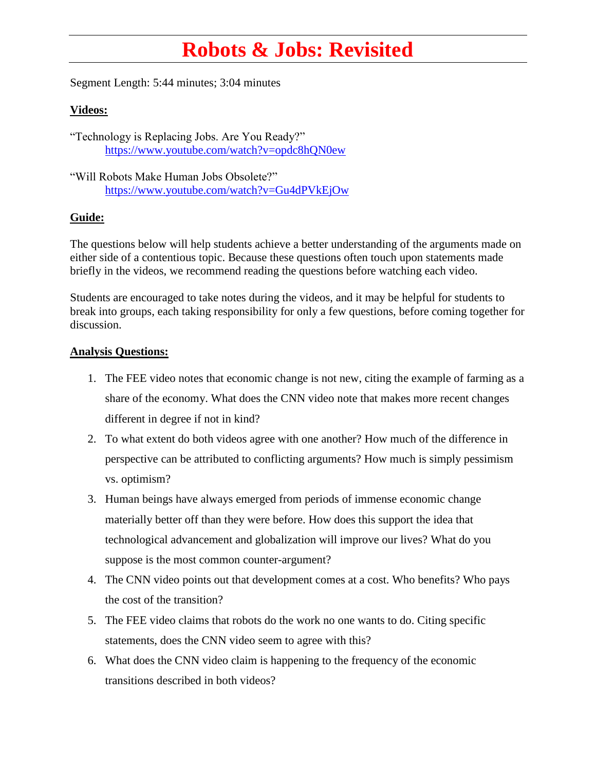## **Robots & Jobs: Revisited**

Segment Length: 5:44 minutes; 3:04 minutes

## **Videos:**

"Technology is Replacing Jobs. Are You Ready?" <https://www.youtube.com/watch?v=opdc8hQN0ew>

"Will Robots Make Human Jobs Obsolete?" <https://www.youtube.com/watch?v=Gu4dPVkEjOw>

## **Guide:**

The questions below will help students achieve a better understanding of the arguments made on either side of a contentious topic. Because these questions often touch upon statements made briefly in the videos, we recommend reading the questions before watching each video.

Students are encouraged to take notes during the videos, and it may be helpful for students to break into groups, each taking responsibility for only a few questions, before coming together for discussion.

## **Analysis Questions:**

- 1. The FEE video notes that economic change is not new, citing the example of farming as a share of the economy. What does the CNN video note that makes more recent changes different in degree if not in kind?
- 2. To what extent do both videos agree with one another? How much of the difference in perspective can be attributed to conflicting arguments? How much is simply pessimism vs. optimism?
- 3. Human beings have always emerged from periods of immense economic change materially better off than they were before. How does this support the idea that technological advancement and globalization will improve our lives? What do you suppose is the most common counter-argument?
- 4. The CNN video points out that development comes at a cost. Who benefits? Who pays the cost of the transition?
- 5. The FEE video claims that robots do the work no one wants to do. Citing specific statements, does the CNN video seem to agree with this?
- 6. What does the CNN video claim is happening to the frequency of the economic transitions described in both videos?